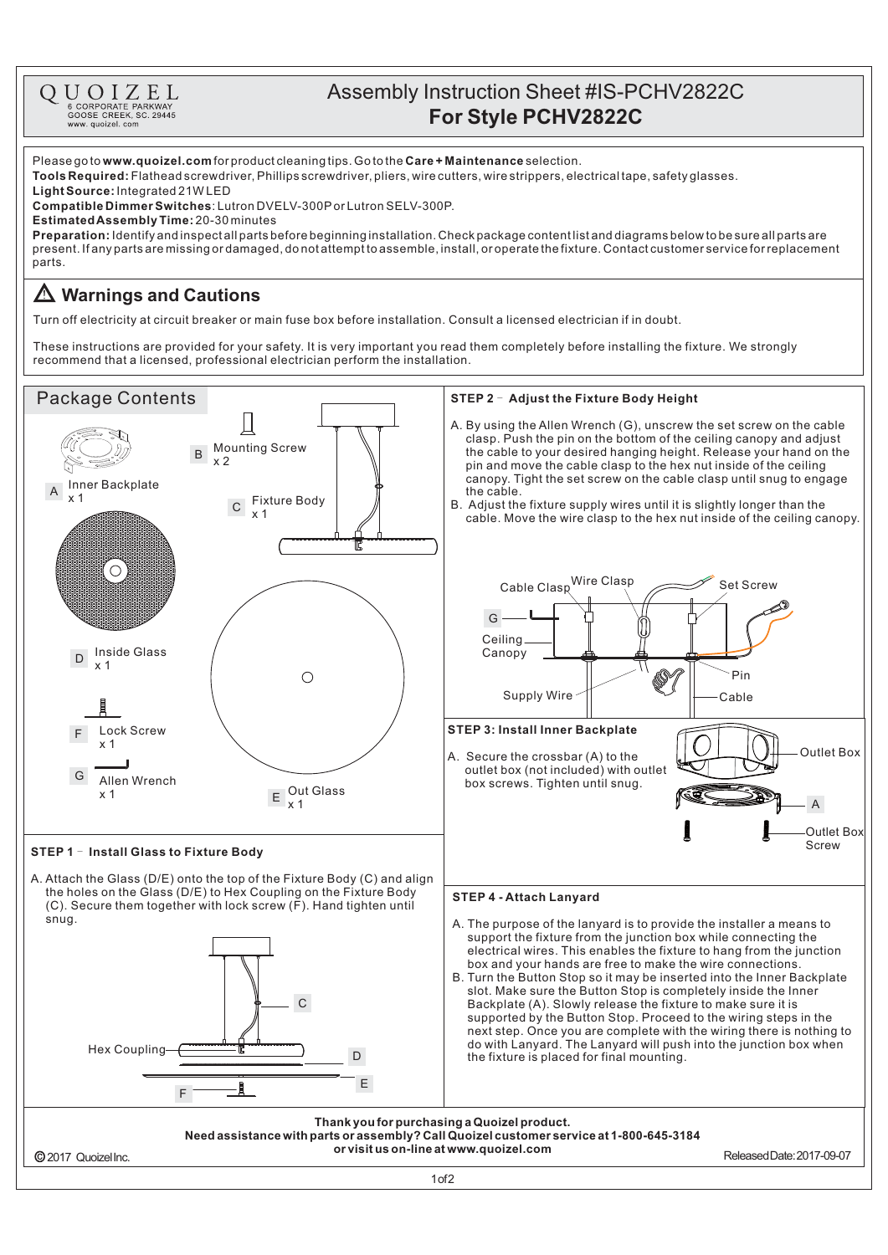